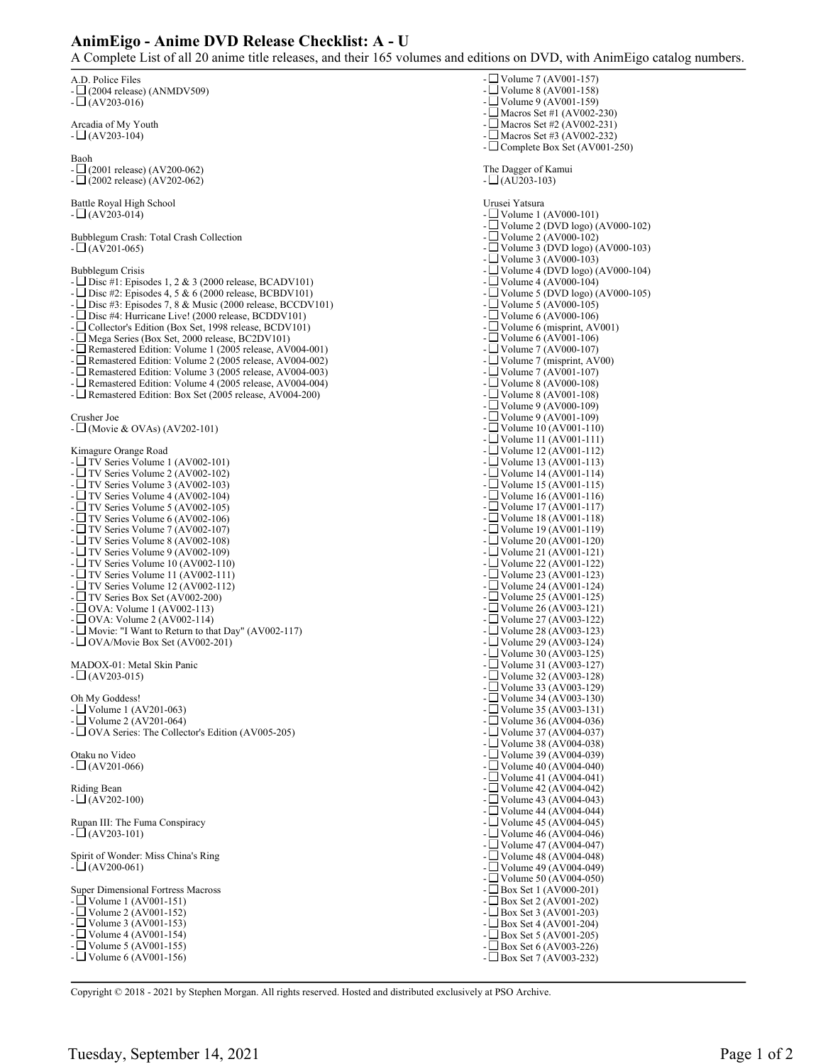## **AnimEigo - Anime DVD Release Checklist: A - U**

A Complete List of all 20 anime title releases, and their 165 volumes and editions on DVD, with AnimEigo catalog numbers.

| A.D. Police Files<br>$-\Box$ (2004 release) (ANMDV509)<br>$-L(AV203-016)$                                                                                                                                                                                                                                                                                                                                                                                                                                                                                                                                                                                                                                                                                                                                                                                                                                                                                                       | - $\Box$ Volume 7 (AV001-157)<br>- $\Box$ Volume 8 (AV001-158)<br>- $\Box$ Volume 9 (AV001-159)                                                                                                                                                                                                                                                                                                                                                                                                                                                                                                                                                                                                                                                                                                                                                                                                             |
|---------------------------------------------------------------------------------------------------------------------------------------------------------------------------------------------------------------------------------------------------------------------------------------------------------------------------------------------------------------------------------------------------------------------------------------------------------------------------------------------------------------------------------------------------------------------------------------------------------------------------------------------------------------------------------------------------------------------------------------------------------------------------------------------------------------------------------------------------------------------------------------------------------------------------------------------------------------------------------|-------------------------------------------------------------------------------------------------------------------------------------------------------------------------------------------------------------------------------------------------------------------------------------------------------------------------------------------------------------------------------------------------------------------------------------------------------------------------------------------------------------------------------------------------------------------------------------------------------------------------------------------------------------------------------------------------------------------------------------------------------------------------------------------------------------------------------------------------------------------------------------------------------------|
| Arcadia of My Youth<br>$-L(AV203-104)$                                                                                                                                                                                                                                                                                                                                                                                                                                                                                                                                                                                                                                                                                                                                                                                                                                                                                                                                          | - $\Box$ Macros Set #1 (AV002-230)<br>- $\Box$ Macros Set #2 (AV002-231)<br>- $\Box$ Macros Set #3 (AV002-232)<br>- $\Box$ Complete Box Set (AV001-250)                                                                                                                                                                                                                                                                                                                                                                                                                                                                                                                                                                                                                                                                                                                                                     |
| Baoh<br>$-\Box$ (2001 release) (AV200-062)<br>$-\Box$ (2002 release) (AV202-062)                                                                                                                                                                                                                                                                                                                                                                                                                                                                                                                                                                                                                                                                                                                                                                                                                                                                                                | The Dagger of Kamui<br>$-L(AU203-103)$                                                                                                                                                                                                                                                                                                                                                                                                                                                                                                                                                                                                                                                                                                                                                                                                                                                                      |
| Battle Royal High School<br>$-L(AV203-014)$                                                                                                                                                                                                                                                                                                                                                                                                                                                                                                                                                                                                                                                                                                                                                                                                                                                                                                                                     | Urusei Yatsura<br>- $\Box$ Volume 1 (AV000-101)                                                                                                                                                                                                                                                                                                                                                                                                                                                                                                                                                                                                                                                                                                                                                                                                                                                             |
| Bubblegum Crash: Total Crash Collection<br>$-L(AV201-065)$                                                                                                                                                                                                                                                                                                                                                                                                                                                                                                                                                                                                                                                                                                                                                                                                                                                                                                                      | - $\Box$ Volume 2 (DVD logo) (AV000-102)<br>- $\Box$ Volume 2 (AV000-102)<br>- $\Box$ Volume 3 (DVD logo) (AV000-103)<br>- $\Box$ Volume 3 (AV000-103)                                                                                                                                                                                                                                                                                                                                                                                                                                                                                                                                                                                                                                                                                                                                                      |
| Bubblegum Crisis<br>- $\Box$ Disc #1: Episodes 1, 2 & 3 (2000 release, BCADV101)<br>- $\Box$ Disc #2: Episodes 4, 5 & 6 (2000 release, BCBDV101)<br>- $\Box$ Disc #3: Episodes 7, 8 & Music (2000 release, BCCDV101)<br>- Disc #4: Hurricane Live! (2000 release, BCDDV101)<br>- $\Box$ Collector's Edition (Box Set, 1998 release, BCDV101)<br>- Mega Series (Box Set, 2000 release, BC2DV101)<br>- □ Remastered Edition: Volume 1 (2005 release, AV004-001)<br>- Remastered Edition: Volume 2 (2005 release, AV004-002)<br>- Remastered Edition: Volume 3 (2005 release, AV004-003)<br>- Remastered Edition: Volume 4 (2005 release, AV004-004)<br>- Remastered Edition: Box Set (2005 release, AV004-200)                                                                                                                                                                                                                                                                    | - $\Box$ Volume 4 (DVD logo) (AV000-104)<br>- $\Box$ Volume 4 (AV000-104)<br>- $\Box$ Volume 5 (DVD logo) (AV000-105)<br>- $\Box$ Volume 5 (AV000-105)<br>- $\Box$ Volume 6 (AV000-106)<br>- $\Box$ Volume 6 (misprint, AV001)<br>- $\Box$ Volume 6 (AV001-106)<br>- $\Box$ Volume 7 (AV000-107)<br>- $\Box$ Volume 7 (misprint, AV00)<br>- $\Box$ Volume 7 (AV001-107)<br>- $\Box$ Volume 8 (AV000-108)<br>- $\Box$ Volume 8 (AV001-108)                                                                                                                                                                                                                                                                                                                                                                                                                                                                   |
| Crusher Joe<br>- $\Box$ (Movie & OVAs) (AV202-101)                                                                                                                                                                                                                                                                                                                                                                                                                                                                                                                                                                                                                                                                                                                                                                                                                                                                                                                              | - $\Box$ Volume 9 (AV000-109)<br>- $\Box$ Volume 9 (AV001-109)<br>- $\Box$ Volume 10 (AV001-110)<br>- $\Box$ Volume 11 (AV001-111)                                                                                                                                                                                                                                                                                                                                                                                                                                                                                                                                                                                                                                                                                                                                                                          |
| Kimagure Orange Road<br>- $\Box$ TV Series Volume 1 (AV002-101)<br>- $\Box$ TV Series Volume 2 (AV002-102)<br>- $\Box$ TV Series Volume 3 (AV002-103)<br>- $\Box$ TV Series Volume 4 (AV002-104)<br>- $\Box$ TV Series Volume 5 (AV002-105)<br>- $\Box$ TV Series Volume 6 (AV002-106)<br>- $\Box$ TV Series Volume 7 (AV002-107)<br>- $\Box$ TV Series Volume 8 (AV002-108)<br>- $\Box$ TV Series Volume 9 (AV002-109)<br>- $\Box$ TV Series Volume 10 (AV002-110)<br>$-LTV$ Series Volume 11 (AV002-111)<br>- $\Box$ TV Series Volume 12 (AV002-112)<br>- $\Box$ TV Series Box Set (AV002-200)<br>$-$ OVA: Volume 1 (AV002-113)<br>$-L$ OVA: Volume 2 (AV002-114)<br>- $\Box$ Movie: "I Want to Return to that Day" (AV002-117)<br>- $\Box$ OVA/Movie Box Set (AV002-201)<br>MADOX-01: Metal Skin Panic<br>$\Box$ (AV203-015)<br>Oh My Goddess!<br>- $\Box$ Volume 1 (AV201-063)<br>- $\Box$ Volume 2 (AV201-064)<br>- $\Box$ OVA Series: The Collector's Edition (AV005-205) | - $\Box$ Volume 12 (AV001-112)<br>- $\Box$ Volume 13 (AV001-113)<br>- $\Box$ Volume 14 (AV001-114)<br>- $\Box$ Volume 15 (AV001-115)<br>- $\Box$ Volume 16 (AV001-116)<br>- $\Box$ Volume 17 (AV001-117)<br>- $\Box$ Volume 18 (AV001-118)<br>- $\Box$ Volume 19 (AV001-119)<br>- $\Box$ Volume 20 (AV001-120)<br>- $\Box$ Volume 21 (AV001-121)<br>- $\Box$ Volume 22 (AV001-122)<br>- $\Box$ Volume 23 (AV001-123)<br>- $\Box$ Volume 24 (AV001-124)<br>- $\Box$ Volume 25 (AV001-125)<br>- $\Box$ Volume 26 (AV003-121)<br>- $\Box$ Volume 27 (AV003-122)<br>- $\Box$ Volume 28 (AV003-123)<br>- $\Box$ Volume 29 (AV003-124)<br>- $\Box$ Volume 30 (AV003-125)<br>- $\Box$ Volume 31 (AV003-127)<br>- □ Volume 32 (AV003-128)<br>- $\Box$ Volume 33 (AV003-129)<br>- $\Box$ Volume 34 (AV003-130)<br>- $\Box$ Volume 35 (AV003-131)<br>- $\Box$ Volume 36 (AV004-036)<br>- $\Box$ Volume 37 (AV004-037) |
| Otaku no Video<br>$-\Box$ (AV201-066)                                                                                                                                                                                                                                                                                                                                                                                                                                                                                                                                                                                                                                                                                                                                                                                                                                                                                                                                           | - $\Box$ Volume 38 (AV004-038)<br>- $\Box$ Volume 39 (AV004-039)<br>- $\Box$ Volume 40 (AV004-040)                                                                                                                                                                                                                                                                                                                                                                                                                                                                                                                                                                                                                                                                                                                                                                                                          |
| Riding Bean<br>$-\Box$ (AV202-100)                                                                                                                                                                                                                                                                                                                                                                                                                                                                                                                                                                                                                                                                                                                                                                                                                                                                                                                                              | - $\Box$ Volume 41 (AV004-041)<br>- $\Box$ Volume 42 (AV004-042)<br>- $\Box$ Volume 43 (AV004-043)                                                                                                                                                                                                                                                                                                                                                                                                                                                                                                                                                                                                                                                                                                                                                                                                          |
| Rupan III: The Fuma Conspiracy<br>$-\Box$ (AV203-101)                                                                                                                                                                                                                                                                                                                                                                                                                                                                                                                                                                                                                                                                                                                                                                                                                                                                                                                           | - $\Box$ Volume 44 (AV004-044)<br>- $\Box$ Volume 45 (AV004-045)<br>- $\Box$ Volume 46 (AV004-046)                                                                                                                                                                                                                                                                                                                                                                                                                                                                                                                                                                                                                                                                                                                                                                                                          |
| Spirit of Wonder: Miss China's Ring<br>$-\Box$ (AV200-061)                                                                                                                                                                                                                                                                                                                                                                                                                                                                                                                                                                                                                                                                                                                                                                                                                                                                                                                      | - $\Box$ Volume 47 (AV004-047)<br>- $\Box$ Volume 48 (AV004-048)<br>- $\Box$ Volume 49 (AV004-049)                                                                                                                                                                                                                                                                                                                                                                                                                                                                                                                                                                                                                                                                                                                                                                                                          |
| <b>Super Dimensional Fortress Macross</b><br>- $\Box$ Volume 1 (AV001-151)<br>- $\Box$ Volume 2 (AV001-152)<br>- $\Box$ Volume 3 (AV001-153)<br>- $\Box$ Volume 4 (AV001-154)<br>- $\Box$ Volume 5 (AV001-155)<br>- $\Box$ Volume 6 (AV001-156)                                                                                                                                                                                                                                                                                                                                                                                                                                                                                                                                                                                                                                                                                                                                 | - $\Box$ Volume 50 (AV004-050)<br>$-\Box$ Box Set 1 (AV000-201)<br>$-\Box$ Box Set 2 (AV001-202)<br>$-L$ Box Set 3 (AV001-203)<br>$-L$ Box Set 4 (AV001-204)<br>$-\Box$ Box Set 5 (AV001-205)<br>$-L$ Box Set 6 (AV003-226)<br>- $\Box$ Box Set 7 (AV003-232)                                                                                                                                                                                                                                                                                                                                                                                                                                                                                                                                                                                                                                               |
|                                                                                                                                                                                                                                                                                                                                                                                                                                                                                                                                                                                                                                                                                                                                                                                                                                                                                                                                                                                 |                                                                                                                                                                                                                                                                                                                                                                                                                                                                                                                                                                                                                                                                                                                                                                                                                                                                                                             |

Copyright © 2018 - 2021 by Stephen Morgan. All rights reserved. Hosted and distributed exclusively at PSO Archive.